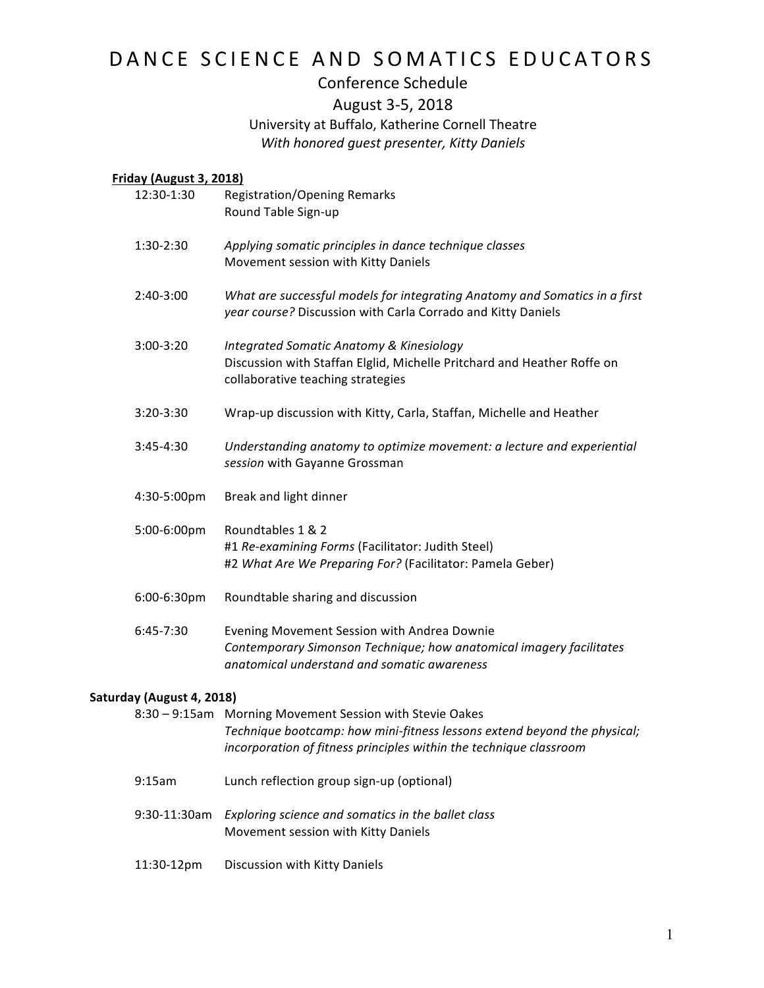# DANCE SCIENCE AND SOMATICS EDUCATORS

## Conference Schedule August 3-5, 2018 University at Buffalo, Katherine Cornell Theatre

With honored guest presenter, Kitty Daniels

### **Friday (August 3, 2018)**

| 12:30-1:30  |                           | <b>Registration/Opening Remarks</b><br>Round Table Sign-up                                                                                                                                                 |  |
|-------------|---------------------------|------------------------------------------------------------------------------------------------------------------------------------------------------------------------------------------------------------|--|
| 1:30-2:30   |                           | Applying somatic principles in dance technique classes<br>Movement session with Kitty Daniels                                                                                                              |  |
| $2:40-3:00$ |                           | What are successful models for integrating Anatomy and Somatics in a first<br>year course? Discussion with Carla Corrado and Kitty Daniels                                                                 |  |
| 3:00-3:20   |                           | <b>Integrated Somatic Anatomy &amp; Kinesiology</b><br>Discussion with Staffan Elglid, Michelle Pritchard and Heather Roffe on<br>collaborative teaching strategies                                        |  |
| 3:20-3:30   |                           | Wrap-up discussion with Kitty, Carla, Staffan, Michelle and Heather                                                                                                                                        |  |
| $3:45-4:30$ |                           | Understanding anatomy to optimize movement: a lecture and experiential<br>session with Gayanne Grossman                                                                                                    |  |
| 4:30-5:00pm |                           | Break and light dinner                                                                                                                                                                                     |  |
| 5:00-6:00pm |                           | Roundtables 1 & 2<br>#1 Re-examining Forms (Facilitator: Judith Steel)<br>#2 What Are We Preparing For? (Facilitator: Pamela Geber)                                                                        |  |
| 6:00-6:30pm |                           | Roundtable sharing and discussion                                                                                                                                                                          |  |
| $6:45-7:30$ |                           | Evening Movement Session with Andrea Downie<br>Contemporary Simonson Technique; how anatomical imagery facilitates<br>anatomical understand and somatic awareness                                          |  |
|             | Saturday (August 4, 2018) |                                                                                                                                                                                                            |  |
|             |                           | 8:30 - 9:15am Morning Movement Session with Stevie Oakes<br>Technique bootcamp: how mini-fitness lessons extend beyond the physical;<br>incorporation of fitness principles within the technique classroom |  |

- 9:15am Lunch reflection group sign-up (optional)
- 9:30-11:30am *Exploring science and somatics in the ballet class* Movement session with Kitty Daniels
- 11:30-12pm Discussion with Kitty Daniels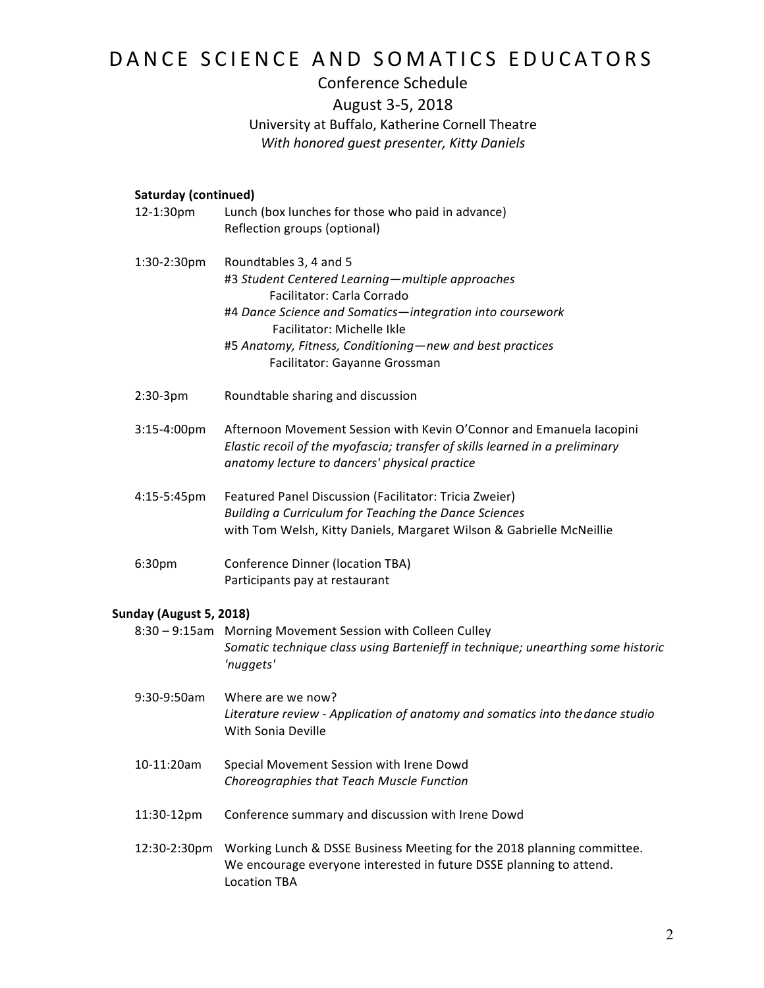# DANCE SCIENCE AND SOMATICS EDUCATORS

## Conference Schedule August 3-5, 2018 University at Buffalo, Katherine Cornell Theatre *With honored guest presenter, Kitty Daniels*

### **Saturday (continued)**

| 12-1:30pm               | Lunch (box lunches for those who paid in advance)<br>Reflection groups (optional)                                                                                                                                                                                                                |
|-------------------------|--------------------------------------------------------------------------------------------------------------------------------------------------------------------------------------------------------------------------------------------------------------------------------------------------|
| 1:30-2:30pm             | Roundtables 3, 4 and 5<br>#3 Student Centered Learning-multiple approaches<br>Facilitator: Carla Corrado<br>#4 Dance Science and Somatics-integration into coursework<br>Facilitator: Michelle Ikle<br>#5 Anatomy, Fitness, Conditioning-new and best practices<br>Facilitator: Gayanne Grossman |
| $2:30-3pm$              | Roundtable sharing and discussion                                                                                                                                                                                                                                                                |
| 3:15-4:00pm             | Afternoon Movement Session with Kevin O'Connor and Emanuela Iacopini<br>Elastic recoil of the myofascia; transfer of skills learned in a preliminary<br>anatomy lecture to dancers' physical practice                                                                                            |
| 4:15-5:45pm             | Featured Panel Discussion (Facilitator: Tricia Zweier)<br>Building a Curriculum for Teaching the Dance Sciences<br>with Tom Welsh, Kitty Daniels, Margaret Wilson & Gabrielle McNeillie                                                                                                          |
| 6:30pm                  | <b>Conference Dinner (location TBA)</b><br>Participants pay at restaurant                                                                                                                                                                                                                        |
| Sunday (August 5, 2018) |                                                                                                                                                                                                                                                                                                  |
|                         | 8:30 - 9:15am Morning Movement Session with Colleen Culley<br>Somatic technique class using Bartenieff in technique; unearthing some historic<br>'nuggets'                                                                                                                                       |
| 9:30-9:50am             | Where are we now?<br>Literature review - Application of anatomy and somatics into the dance studio<br>With Sonia Deville                                                                                                                                                                         |
| 10-11:20am              | Special Movement Session with Irene Dowd<br>Choreographies that Teach Muscle Function                                                                                                                                                                                                            |
| 11:30-12pm              | Conference summary and discussion with Irene Dowd                                                                                                                                                                                                                                                |
| 12:30-2:30pm            | Working Lunch & DSSE Business Meeting for the 2018 planning committee.<br>We encourage everyone interested in future DSSE planning to attend.<br><b>Location TBA</b>                                                                                                                             |